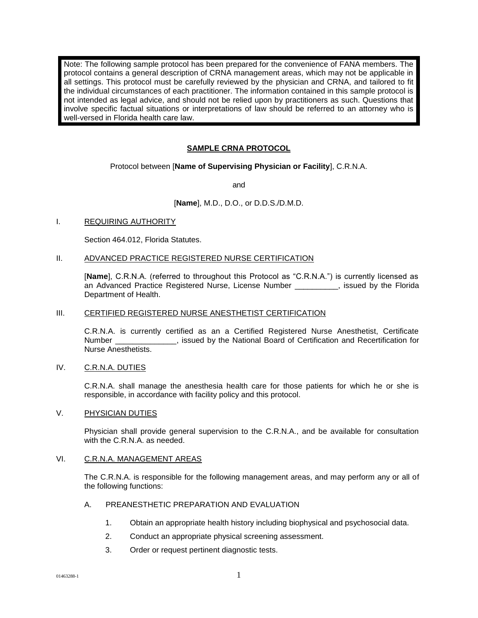Note: The following sample protocol has been prepared for the convenience of FANA members. The protocol contains a general description of CRNA management areas, which may not be applicable in all settings. This protocol must be carefully reviewed by the physician and CRNA, and tailored to fit the individual circumstances of each practitioner. The information contained in this sample protocol is not intended as legal advice, and should not be relied upon by practitioners as such. Questions that involve specific factual situations or interpretations of law should be referred to an attorney who is well-versed in Florida health care law.

# **SAMPLE CRNA PROTOCOL**

Protocol between [**Name of Supervising Physician or Facility**], C.R.N.A.

and

# [**Name**], M.D., D.O., or D.D.S./D.M.D.

# I. REQUIRING AUTHORITY

Section 464.012, Florida Statutes.

#### II. ADVANCED PRACTICE REGISTERED NURSE CERTIFICATION

[**Name**], C.R.N.A. (referred to throughout this Protocol as "C.R.N.A.") is currently licensed as an Advanced Practice Registered Nurse, License Number \_\_\_\_\_\_\_\_\_\_, issued by the Florida Department of Health.

# III. CERTIFIED REGISTERED NURSE ANESTHETIST CERTIFICATION

C.R.N.A. is currently certified as an a Certified Registered Nurse Anesthetist, Certificate Number \_\_\_\_\_\_\_\_\_\_\_\_\_\_, issued by the National Board of Certification and Recertification for Nurse Anesthetists.

#### IV. C.R.N.A. DUTIES

C.R.N.A. shall manage the anesthesia health care for those patients for which he or she is responsible, in accordance with facility policy and this protocol.

#### V. PHYSICIAN DUTIES

Physician shall provide general supervision to the C.R.N.A., and be available for consultation with the C.R.N.A. as needed.

# VI. C.R.N.A. MANAGEMENT AREAS

The C.R.N.A. is responsible for the following management areas, and may perform any or all of the following functions:

# A. PREANESTHETIC PREPARATION AND EVALUATION

- 1. Obtain an appropriate health history including biophysical and psychosocial data.
- 2. Conduct an appropriate physical screening assessment.
- 3. Order or request pertinent diagnostic tests.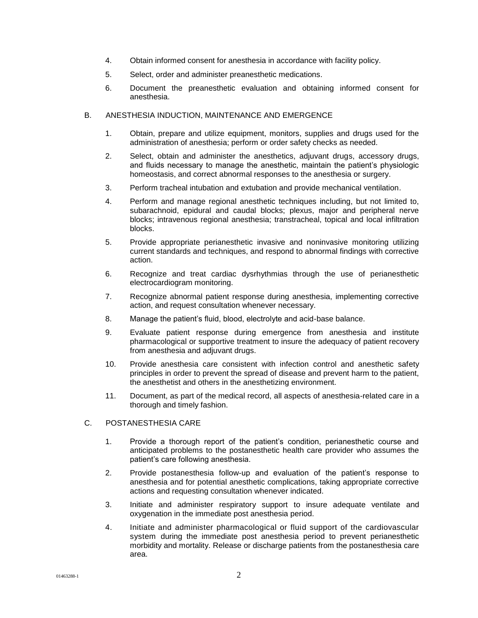- 4. Obtain informed consent for anesthesia in accordance with facility policy.
- 5. Select, order and administer preanesthetic medications.
- 6. Document the preanesthetic evaluation and obtaining informed consent for anesthesia.

# B. ANESTHESIA INDUCTION, MAINTENANCE AND EMERGENCE

- 1. Obtain, prepare and utilize equipment, monitors, supplies and drugs used for the administration of anesthesia; perform or order safety checks as needed.
- 2. Select, obtain and administer the anesthetics, adjuvant drugs, accessory drugs, and fluids necessary to manage the anesthetic, maintain the patient's physiologic homeostasis, and correct abnormal responses to the anesthesia or surgery.
- 3. Perform tracheal intubation and extubation and provide mechanical ventilation.
- 4. Perform and manage regional anesthetic techniques including, but not limited to, subarachnoid, epidural and caudal blocks; plexus, major and peripheral nerve blocks; intravenous regional anesthesia; transtracheal, topical and local infiltration blocks.
- 5. Provide appropriate perianesthetic invasive and noninvasive monitoring utilizing current standards and techniques, and respond to abnormal findings with corrective action.
- 6. Recognize and treat cardiac dysrhythmias through the use of perianesthetic electrocardiogram monitoring.
- 7. Recognize abnormal patient response during anesthesia, implementing corrective action, and request consultation whenever necessary.
- 8. Manage the patient's fluid, blood, electrolyte and acid-base balance.
- 9. Evaluate patient response during emergence from anesthesia and institute pharmacological or supportive treatment to insure the adequacy of patient recovery from anesthesia and adjuvant drugs.
- 10. Provide anesthesia care consistent with infection control and anesthetic safety principles in order to prevent the spread of disease and prevent harm to the patient, the anesthetist and others in the anesthetizing environment.
- 11. Document, as part of the medical record, all aspects of anesthesia-related care in a thorough and timely fashion.

# C. POSTANESTHESIA CARE

- 1. Provide a thorough report of the patient's condition, perianesthetic course and anticipated problems to the postanesthetic health care provider who assumes the patient's care following anesthesia.
- 2. Provide postanesthesia follow-up and evaluation of the patient's response to anesthesia and for potential anesthetic complications, taking appropriate corrective actions and requesting consultation whenever indicated.
- 3. Initiate and administer respiratory support to insure adequate ventilate and oxygenation in the immediate post anesthesia period.
- 4. Initiate and administer pharmacological or fluid support of the cardiovascular system during the immediate post anesthesia period to prevent perianesthetic morbidity and mortality. Release or discharge patients from the postanesthesia care area.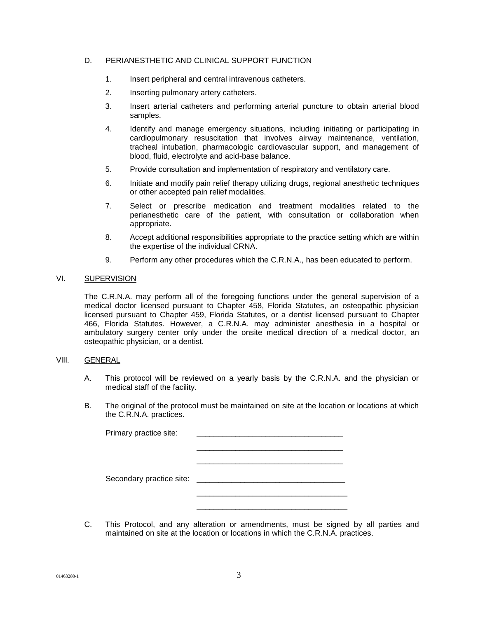# D. PERIANESTHETIC AND CLINICAL SUPPORT FUNCTION

- 1. Insert peripheral and central intravenous catheters.
- 2. Inserting pulmonary artery catheters.
- 3. Insert arterial catheters and performing arterial puncture to obtain arterial blood samples.
- 4. Identify and manage emergency situations, including initiating or participating in cardiopulmonary resuscitation that involves airway maintenance, ventilation, tracheal intubation, pharmacologic cardiovascular support, and management of blood, fluid, electrolyte and acid-base balance.
- 5. Provide consultation and implementation of respiratory and ventilatory care.
- 6. Initiate and modify pain relief therapy utilizing drugs, regional anesthetic techniques or other accepted pain relief modalities.
- 7. Select or prescribe medication and treatment modalities related to the perianesthetic care of the patient, with consultation or collaboration when appropriate.
- 8. Accept additional responsibilities appropriate to the practice setting which are within the expertise of the individual CRNA.
- 9. Perform any other procedures which the C.R.N.A., has been educated to perform.

# VI. SUPERVISION

The C.R.N.A. may perform all of the foregoing functions under the general supervision of a medical doctor licensed pursuant to Chapter 458, Florida Statutes, an osteopathic physician licensed pursuant to Chapter 459, Florida Statutes, or a dentist licensed pursuant to Chapter 466, Florida Statutes. However, a C.R.N.A. may administer anesthesia in a hospital or ambulatory surgery center only under the onsite medical direction of a medical doctor, an osteopathic physician, or a dentist.

# VIII. GENERAL

- A. This protocol will be reviewed on a yearly basis by the C.R.N.A. and the physician or medical staff of the facility.
- B. The original of the protocol must be maintained on site at the location or locations at which the C.R.N.A. practices.

| Primary practice site:   |  |
|--------------------------|--|
|                          |  |
| Secondary practice site: |  |
|                          |  |

C. This Protocol, and any alteration or amendments, must be signed by all parties and maintained on site at the location or locations in which the C.R.N.A. practices.